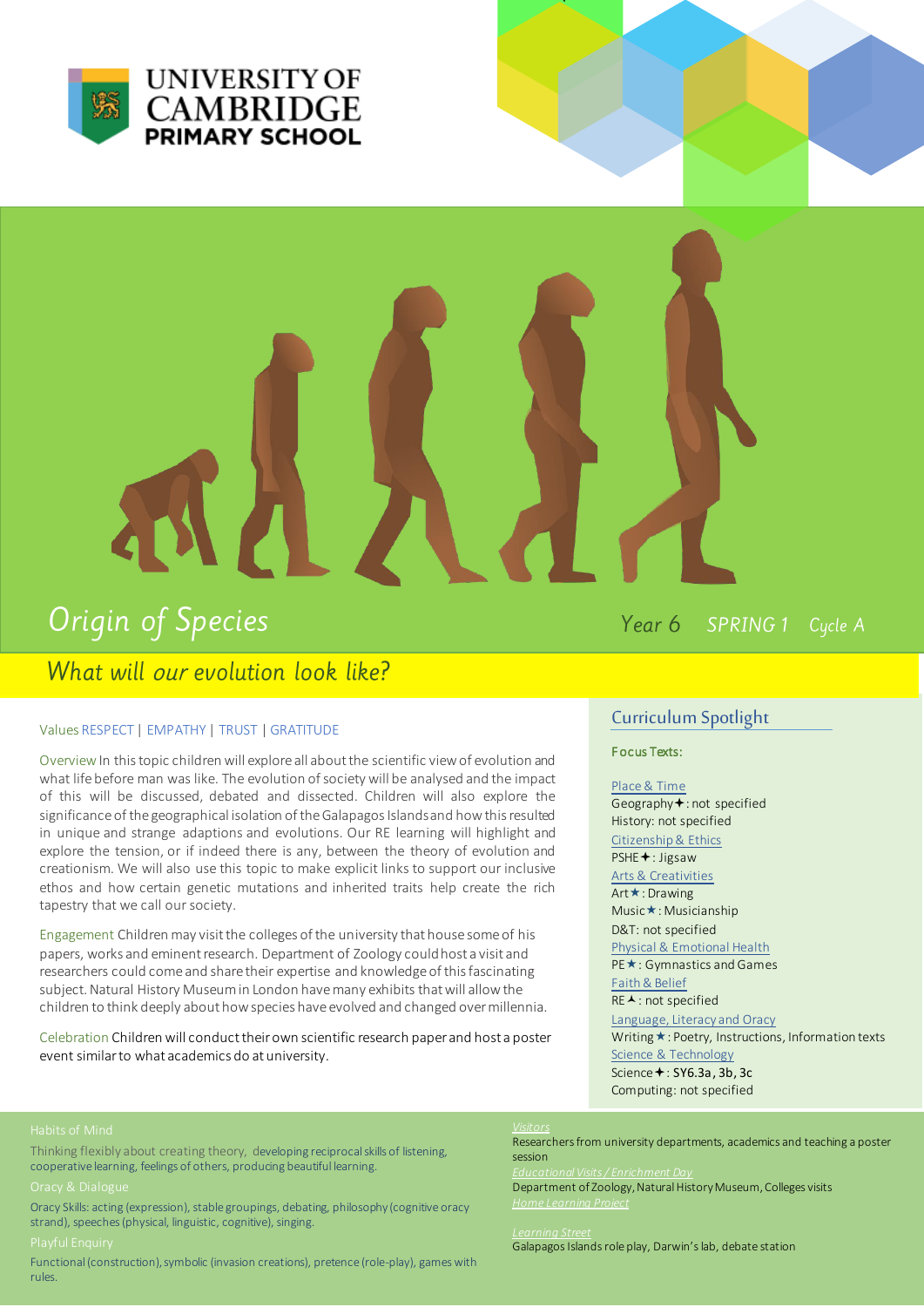

# Origin of Species

What will our evolution look like?

Year 6 SPRING 1 Cycle A

## Values RESPECT | EMPATHY | TRUST | GRATITUDE

Overview In this topic children will explore all about the scientific view of evolution and what life before man was like. The evolution of society will be analysed and the impact of this will be discussed, debated and dissected. Children will also explore the significance of the geographical isolation of the Galapagos Islands and how this resulted in unique and strange adaptions and evolutions. Our RE learning will highlight and explore the tension, or if indeed there is any, between the theory of evolution and creationism. We will also use this topic to make explicit links to support our inclusive ethos and how certain genetic mutations and inherited traits help create the rich tapestry that we call our society.

Engagement Children may visit the colleges of the university that house some of his papers, works and eminent research. Department of Zoology could host a visit and researchers could come and share their expertise and knowledge of this fascinating subject. Natural History Museum in London have many exhibits that will allow the children to think deeply about how species have evolved and changed over millennia.

Celebration Children will conduct their own scientific research paper and host a poster event similar to what academics do at university.

# Curriculum Spotlight

F ocus Texts:

 $\mathcal{L}$ 

Place & Time Geography<sup>+</sup>: not specified History: not specified Citizenship & Ethics PSHE<sup>+</sup>: Jigsaw Arts & Creativities Art **★**: Drawing Music $\star$ : Musicianship D&T: not specified Physical & Emotional Health PE<sup>\*</sup>: Gymnastics and Games Faith & Belief RE ▲: not specified Language, Literacy and Oracy Writing  $\star$ : Poetry, Instructions, Information texts

Science & Technology Science  $\div$ : SY6.3a, 3b, 3c Computing: not specified

Thinking flexibly about creating theory, developing reciprocal skills of listening, cooperative learning, feelings of others, producing beautiful learning.

Oracy Skills: acting (expression), stable groupings, debating, philosophy (cognitive oracy strand), speeches (physical, linguistic, cognitive), singing.

Functional (construction), symbolic (invasion creations), pretence (role-play), games with rules.

## *Visitors*

Researchers from university departments, academics and teaching a poster session

*Educational Visits / Enrichment Day* 

Department of Zoology, Natural History Museum, Colleges visits *Home Learning Project* 

### *Learning Street*

Galapagos Islands role play, Darwin's lab, debate station